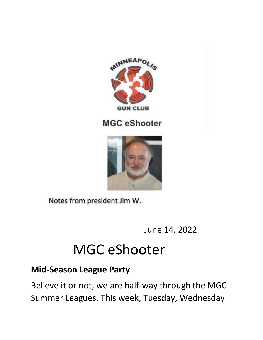

#### **MGC** eShooter



Notes from president Jim W.

June 14, 2022

# MGC eShooter

## **Mid-Season League Party**

Believe it or not, we are half-way through the MGC Summer Leagues. This week, Tuesday, Wednesday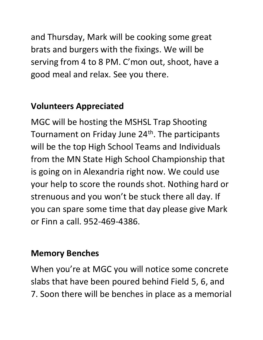and Thursday, Mark will be cooking some great brats and burgers with the fixings. We will be serving from 4 to 8 PM. C'mon out, shoot, have a good meal and relax. See you there.

## **Volunteers Appreciated**

MGC will be hosting the MSHSL Trap Shooting Tournament on Friday June 24<sup>th</sup>. The participants will be the top High School Teams and Individuals from the MN State High School Championship that is going on in Alexandria right now. We could use your help to score the rounds shot. Nothing hard or strenuous and you won't be stuck there all day. If you can spare some time that day please give Mark or Finn a call. 952-469-4386.

## **Memory Benches**

When you're at MGC you will notice some concrete slabs that have been poured behind Field 5, 6, and 7. Soon there will be benches in place as a memorial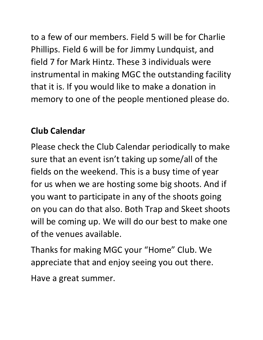to a few of our members. Field 5 will be for Charlie Phillips. Field 6 will be for Jimmy Lundquist, and field 7 for Mark Hintz. These 3 individuals were instrumental in making MGC the outstanding facility that it is. If you would like to make a donation in memory to one of the people mentioned please do.

# **Club Calendar**

Please check the Club Calendar periodically to make sure that an event isn't taking up some/all of the fields on the weekend. This is a busy time of year for us when we are hosting some big shoots. And if you want to participate in any of the shoots going on you can do that also. Both Trap and Skeet shoots will be coming up. We will do our best to make one of the venues available.

Thanks for making MGC your "Home" Club. We appreciate that and enjoy seeing you out there.

Have a great summer.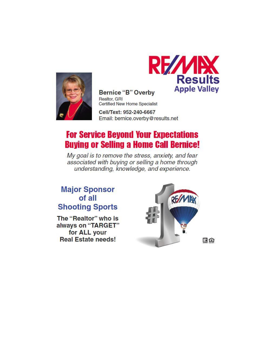



**Bernice "B" Overby** Realtor, GRI **Certified New Home Specialist** 

Cell/Text: 952-240-6667 Email: bernice.overby@results.net

## **For Service Beyond Your Expectations Buying or Selling a Home Call Bernice!**

My goal is to remove the stress, anxiety, and fear associated with buying or selling a home through understanding, knowledge, and experience.

#### **Major Sponsor** of all **Shooting Sports**

The "Realtor" who is always on "TARGET" for ALL your **Real Estate needs!** 

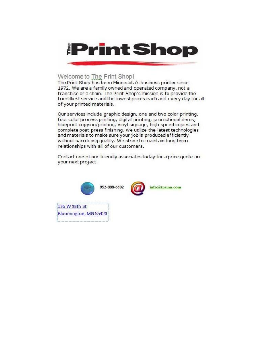

#### Welcome to The Print Shop!

The Print Shop has been Minnesota's business printer since 1972. We are a family owned and operated company, not a franchise or a chain. The Print Shop's mission is to provide the friendliest service and the lowest prices each and every day for all of your printed materials.

Our services include graphic design, one and two color printing, four color process printing, digital printing, promotional items, blueprint copying/printing, vinyl signage, high speed copies and complete post-press finishing. We utilize the latest technologies and materials to make sure your job is produced efficiently without sacrificing quality. We strive to maintain long term relationships with all of our customers.

Contact one of our friendly associates today for a price quote on your next project.